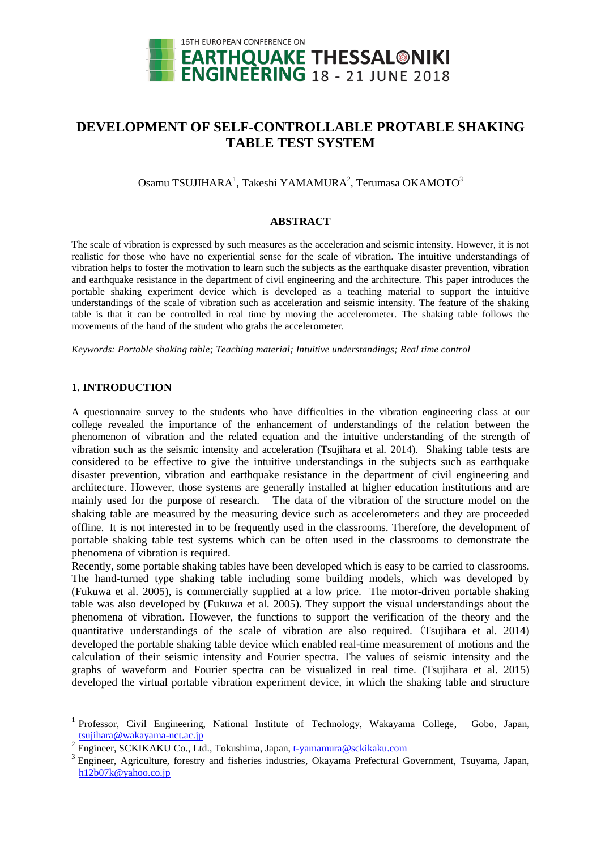

# **DEVELOPMENT OF SELF-CONTROLLABLE PROTABLE SHAKING TABLE TEST SYSTEM**

Osamu TSUJIHARA<sup>1</sup>, Takeshi YAMAMURA<sup>2</sup>, Terumasa OKAMOTO<sup>3</sup>

#### **ABSTRACT**

The scale of vibration is expressed by such measures as the acceleration and seismic intensity. However, it is not realistic for those who have no experiential sense for the scale of vibration. The intuitive understandings of vibration helps to foster the motivation to learn such the subjects as the earthquake disaster prevention, vibration and earthquake resistance in the department of civil engineering and the architecture. This paper introduces the portable shaking experiment device which is developed as a teaching material to support the intuitive understandings of the scale of vibration such as acceleration and seismic intensity. The feature of the shaking table is that it can be controlled in real time by moving the accelerometer. The shaking table follows the movements of the hand of the student who grabs the accelerometer.

*Keywords: Portable shaking table; Teaching material; Intuitive understandings; Real time control*

### **1. INTRODUCTION**

l

A questionnaire survey to the students who have difficulties in the vibration engineering class at our college revealed the importance of the enhancement of understandings of the relation between the phenomenon of vibration and the related equation and the intuitive understanding of the strength of vibration such as the seismic intensity and acceleration (Tsujihara et al*.* 2014). Shaking table tests are considered to be effective to give the intuitive understandings in the subjects such as earthquake disaster prevention, vibration and earthquake resistance in the department of civil engineering and architecture. However, those systems are generally installed at higher education institutions and are mainly used for the purpose of research. The data of the vibration of the structure model on the shaking table are measured by the measuring device such as accelerometers and they are proceeded offline. It is not interested in to be frequently used in the classrooms. Therefore, the development of portable shaking table test systems which can be often used in the classrooms to demonstrate the phenomena of vibration is required.

Recently, some portable shaking tables have been developed which is easy to be carried to classrooms. The hand-turned type shaking table including some building models, which was developed by (Fukuwa et al. 2005), is commercially supplied at a low price. The motor-driven portable shaking table was also developed by (Fukuwa et al. 2005). They support the visual understandings about the phenomena of vibration. However, the functions to support the verification of the theory and the quantitative understandings of the scale of vibration are also required. (Tsujihara et al*.* 2014) developed the portable shaking table device which enabled real-time measurement of motions and the calculation of their seismic intensity and Fourier spectra. The values of seismic intensity and the graphs of waveform and Fourier spectra can be visualized in real time. (Tsujihara et al. 2015) developed the virtual portable vibration experiment device, in which the shaking table and structure

<sup>&</sup>lt;sup>1</sup> Professor, Civil Engineering, National Institute of Technology, Wakayama College, Gobo, Japan, tsujihara@wakayama-nct.ac.jp

<sup>&</sup>lt;sup>2</sup> Engineer, SCKIKAKU Co., Ltd., Tokushima, Japan, t-yamamura@sckikaku.com

<sup>&</sup>lt;sup>3</sup> Engineer, Agriculture, forestry and fisheries industries, Okayama Prefectural Government, Tsuyama, Japan, h12b07k@yahoo.co.jp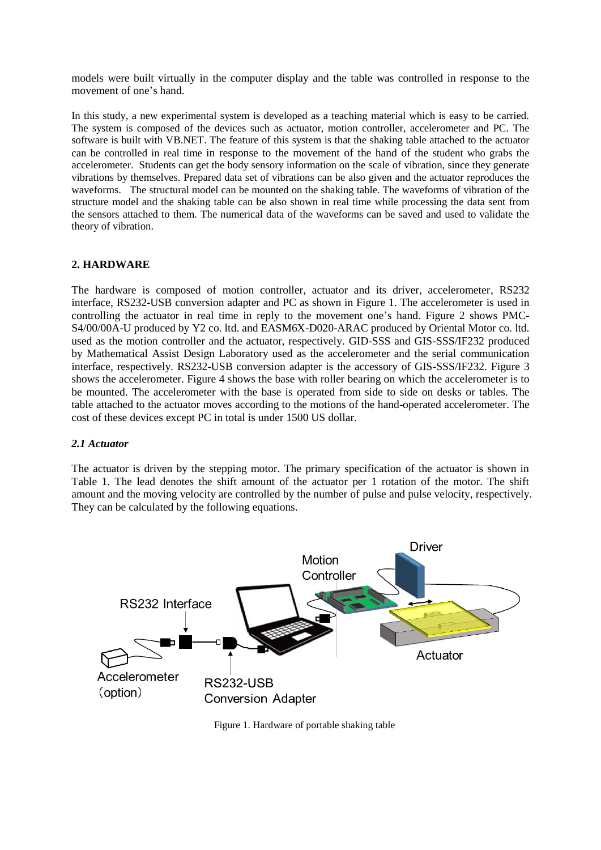models were built virtually in the computer display and the table was controlled in response to the movement of one's hand.

In this study, a new experimental system is developed as a teaching material which is easy to be carried. The system is composed of the devices such as actuator, motion controller, accelerometer and PC. The software is built with VB.NET. The feature of this system is that the shaking table attached to the actuator can be controlled in real time in response to the movement of the hand of the student who grabs the accelerometer. Students can get the body sensory information on the scale of vibration, since they generate vibrations by themselves. Prepared data set of vibrations can be also given and the actuator reproduces the waveforms. The structural model can be mounted on the shaking table. The waveforms of vibration of the structure model and the shaking table can be also shown in real time while processing the data sent from the sensors attached to them. The numerical data of the waveforms can be saved and used to validate the theory of vibration.

## **2. HARDWARE**

The hardware is composed of motion controller, actuator and its driver, accelerometer, RS232 interface, RS232-USB conversion adapter and PC as shown in Figure 1. The accelerometer is used in controlling the actuator in real time in reply to the movement one's hand. Figure 2 shows PMC-S4/00/00A-U produced by Y2 co. ltd. and EASM6X-D020-ARAC produced by Oriental Motor co. ltd. used as the motion controller and the actuator, respectively. GID-SSS and GIS-SSS/IF232 produced by Mathematical Assist Design Laboratory used as the accelerometer and the serial communication interface, respectively. RS232-USB conversion adapter is the accessory of GIS-SSS/IF232. Figure 3 shows the accelerometer. Figure 4 shows the base with roller bearing on which the accelerometer is to be mounted. The accelerometer with the base is operated from side to side on desks or tables. The table attached to the actuator moves according to the motions of the hand-operated accelerometer. The cost of these devices except PC in total is under 1500 US dollar.

### *2.1 Actuator*

The actuator is driven by the stepping motor. The primary specification of the actuator is shown in Table 1. The lead denotes the shift amount of the actuator per 1 rotation of the motor. The shift amount and the moving velocity are controlled by the number of pulse and pulse velocity, respectively. They can be calculated by the following equations.



Figure 1. Hardware of portable shaking table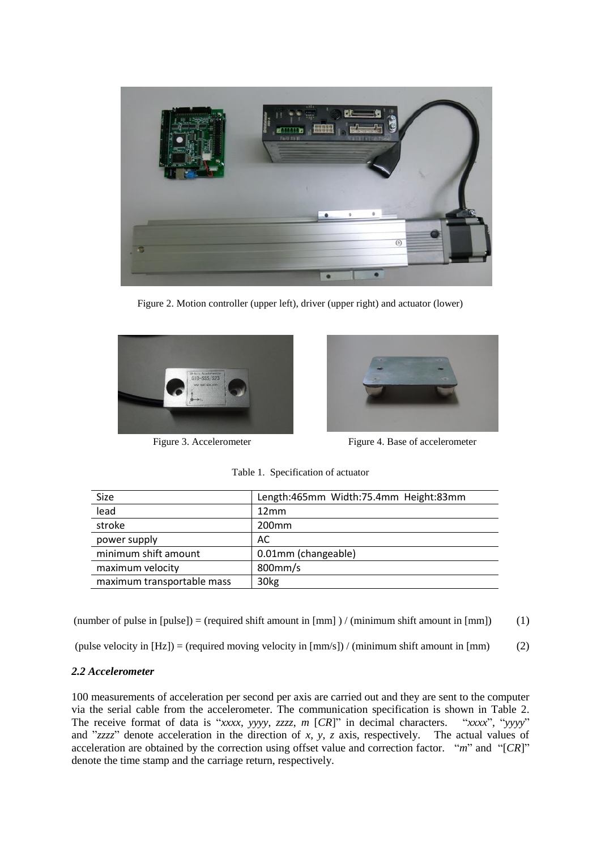

Figure 2. Motion controller (upper left), driver (upper right) and actuator (lower)





Figure 3. Accelerometer Figure 4. Base of accelerometer

| Size                       | Length:465mm Width:75.4mm Height:83mm |  |
|----------------------------|---------------------------------------|--|
| lead                       | 12mm                                  |  |
| stroke                     | 200 <sub>mm</sub>                     |  |
| power supply               | AC                                    |  |
| minimum shift amount       | 0.01mm (changeable)                   |  |
| maximum velocity           | 800mm/s                               |  |
| maximum transportable mass | 30 <sub>kg</sub>                      |  |

Table 1. Specification of actuator

(number of pulse in [pulse]) = (required shift amount in  $\lfloor mm \rfloor$ ) / (minimum shift amount in  $\lfloor mm \rfloor$ ) (1)

(pulse velocity in  $[Hz]$ ) = (required moving velocity in  $[mm/s]$ ) / (minimum shift amount in  $[mm]$  (2)

### *2.2 Accelerometer*

100 measurements of acceleration per second per axis are carried out and they are sent to the computer via the serial cable from the accelerometer. The communication specification is shown in Table 2. The receive format of data is "*xxxx*, *yyyy*, *zzzz*, *m* [*CR*]" in decimal characters. "*xxxx*", "*yyyy*" and "*zzzz*" denote acceleration in the direction of *x*, *y*, *z* axis, respectively. The actual values of acceleration are obtained by the correction using offset value and correction factor. "*m*" and "[*CR*]" denote the time stamp and the carriage return, respectively.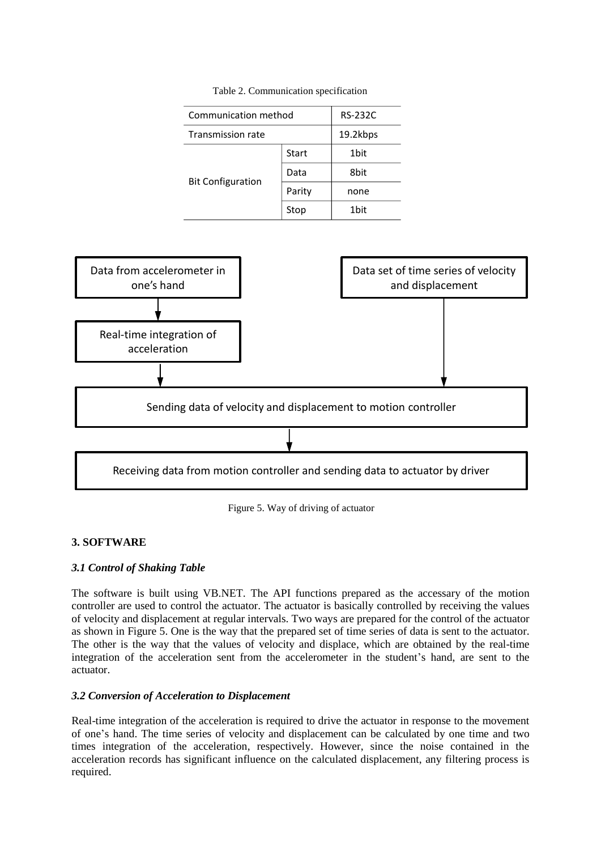| Communication method     |        | <b>RS-232C</b> |
|--------------------------|--------|----------------|
| Transmission rate        |        | 19.2kbps       |
| <b>Bit Configuration</b> | Start  | 1bit           |
|                          | Data   | 8bit           |
|                          | Parity | none           |
|                          | Stop   | 1bit           |

Table 2. Communication specification



Figure 5. Way of driving of actuator

# **3. SOFTWARE**

# *3.1 Control of Shaking Table*

The software is built using VB.NET. The API functions prepared as the accessary of the motion controller are used to control the actuator. The actuator is basically controlled by receiving the values of velocity and displacement at regular intervals. Two ways are prepared for the control of the actuator as shown in Figure 5. One is the way that the prepared set of time series of data is sent to the actuator. The other is the way that the values of velocity and displace, which are obtained by the real-time integration of the acceleration sent from the accelerometer in the student's hand, are sent to the actuator.

# *3.2 Conversion of Acceleration to Displacement*

Real-time integration of the acceleration is required to drive the actuator in response to the movement of one's hand. The time series of velocity and displacement can be calculated by one time and two times integration of the acceleration, respectively. However, since the noise contained in the acceleration records has significant influence on the calculated displacement, any filtering process is required.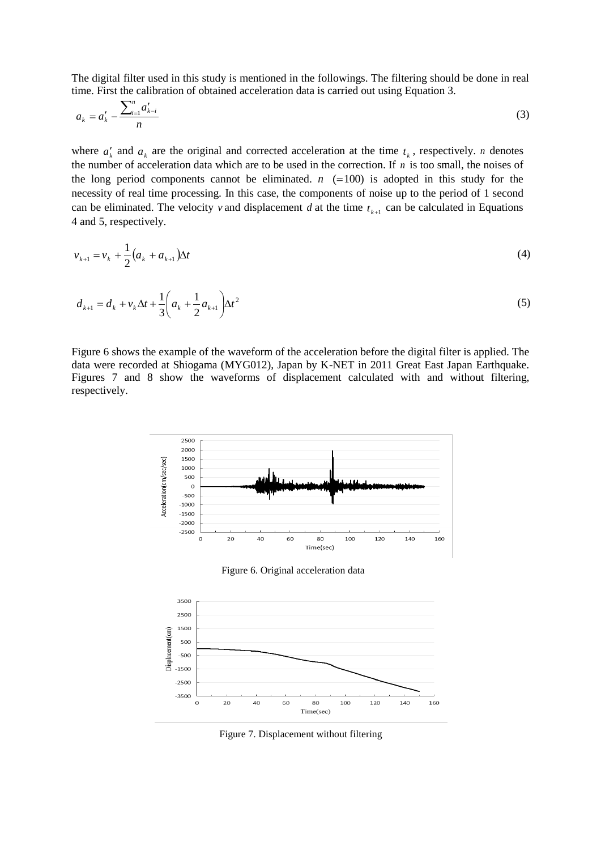The digital filter used in this study is mentioned in the followings. The filtering should be done in real time. First the calibration of obtained acceleration data is carried out using Equation 3.

$$
a_k = a'_k - \frac{\sum_{i=1}^n a'_{k-i}}{n} \tag{3}
$$

where  $a'_k$  and  $a_k$  are the original and corrected acceleration at the time  $t_k$ , respectively. *n* denotes the number of acceleration data which are to be used in the correction. If *n* is too small, the noises of the long period components cannot be eliminated.  $n \neq 100$  is adopted in this study for the necessity of real time processing. In this case, the components of noise up to the period of 1 second can be eliminated. The velocity v and displacement d at the time  $t_{k+1}$  can be calculated in Equations 4 and 5, respectively.

$$
v_{k+1} = v_k + \frac{1}{2} (a_k + a_{k+1}) \Delta t \tag{4}
$$

$$
d_{k+1} = d_k + v_k \Delta t + \frac{1}{3} \left( a_k + \frac{1}{2} a_{k+1} \right) \Delta t^2
$$
\n<sup>(5)</sup>

Figure 6 shows the example of the waveform of the acceleration before the digital filter is applied. The data were recorded at Shiogama (MYG012), Japan by K-NET in 2011 Great East Japan Earthquake. Figures 7 and 8 show the waveforms of displacement calculated with and without filtering, respectively.



Figure 7. Displacement without filtering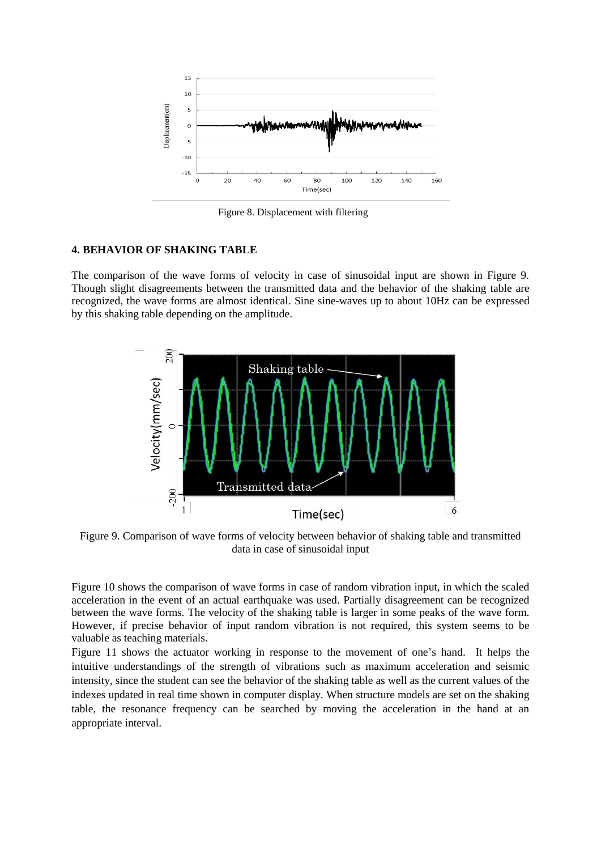

Figure 8. Displacement with filtering

### **4. BEHAVIOR OF SHAKING TABLE**

The comparison of the wave forms of velocity in case of sinusoidal input are shown in Figure 9. Though slight disagreements between the transmitted data and the behavior of the shaking table are recognized, the wave forms are almost identical. Sine sine-waves up to about 10Hz can be expressed by this shaking table depending on the amplitude.



Figure 9. Comparison of wave forms of velocity between behavior of shaking table and transmitted data in case of sinusoidal input

Figure 10 shows the comparison of wave forms in case of random vibration input, in which the scaled acceleration in the event of an actual earthquake was used. Partially disagreement can be recognized between the wave forms. The velocity of the shaking table is larger in some peaks of the wave form. However, if precise behavior of input random vibration is not required, this system seems to be valuable as teaching materials.

Figure 11 shows the actuator working in response to the movement of one's hand. It helps the intuitive understandings of the strength of vibrations such as maximum acceleration and seismic intensity, since the student can see the behavior of the shaking table as well as the current values of the indexes updated in real time shown in computer display. When structure models are set on the shaking table, the resonance frequency can be searched by moving the acceleration in the hand at an appropriate interval.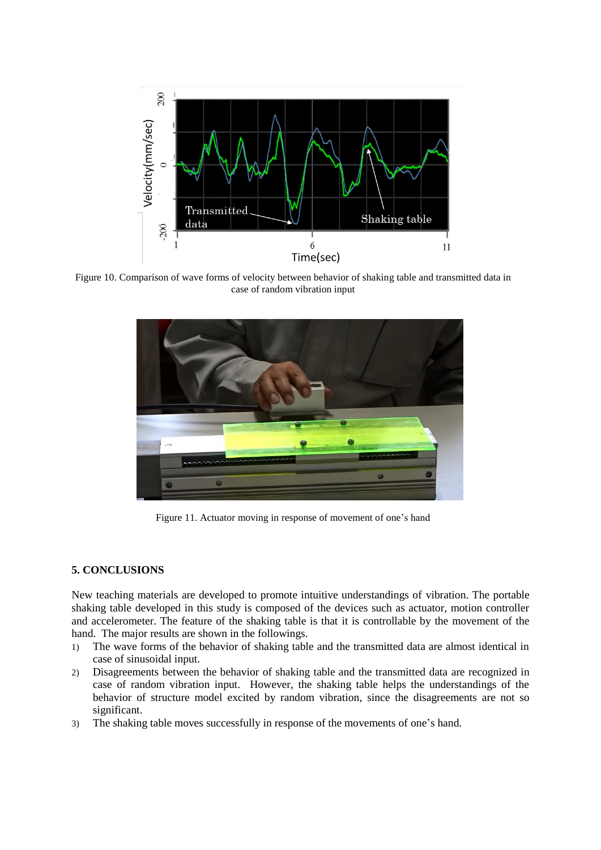

Figure 10. Comparison of wave forms of velocity between behavior of shaking table and transmitted data in case of random vibration input



Figure 11. Actuator moving in response of movement of one's hand

#### **5. CONCLUSIONS**

New teaching materials are developed to promote intuitive understandings of vibration. The portable shaking table developed in this study is composed of the devices such as actuator, motion controller and accelerometer. The feature of the shaking table is that it is controllable by the movement of the hand. The major results are shown in the followings.

- 1) The wave forms of the behavior of shaking table and the transmitted data are almost identical in case of sinusoidal input.
- 2) Disagreements between the behavior of shaking table and the transmitted data are recognized in case of random vibration input. However, the shaking table helps the understandings of the behavior of structure model excited by random vibration, since the disagreements are not so significant.
- 3) The shaking table moves successfully in response of the movements of one's hand.